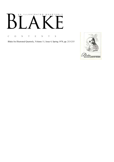# AN ILLUSTRATED QUARTERLY Ӄ

C O N T E N T S

Blake/An Illustrated Quarterly, Volume 11, Issue 4, Spring 1978, pp. 213-215

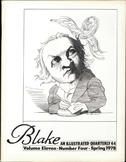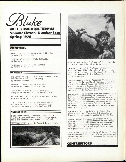Lake

**AN ILLUSTRATED QUARTERLY 44** Volume Eleven 'Number Four Spring 1978

### **CONTENTS**

Handlist of the Huntington Blake Collection by Robert N. Essick, 236

Handlist of the Essick Blake Collection by Janice Lyle, 216

Handlists of Four Blake Collections by Morton D. Paley, 260

#### REVIEWS

The Legacy of English Romanticism: Northrop Frye and William Blake, a review-essay by Michael Fischer, 276

Michael G. Cooke's *The Romantic Will*  reviewed by Laurence Goldstein, 284

Joan Evans' A History of the Society of *Antiquaries* reviewed by David Worrall, 287

Michael Davis' *William Blake: A New Kind of Man*  reviewed by Susan Fox, 289

Joan Dolmetsch's *Rebellion and Reconciliation*  and Gary Kelly's *The English Jacobin Novel 1780-1805* reviewed by Ronald Paulson, 291

#### NEWSLETTER

Blake Theft Foiled, Swedenborg \$3000, *Job* in Frankfurt Schauspielhaus, James Jefferys Update, MLA Blake Seminar 1979, Papers on Jung, 298

Copyright©1978 by Morris Eaves & Morton D. Paley





ROBERT N. ESSICK is a Professor of English at the California State University, Northridge.

SUSAN FOX is Associate Professor of English at Queens College, City University of New York, and the author of *Poetic Form in Blake's Milton.* Her poetry has appeared in the *Chicago Review* and *The Paris Review.* 

LAURENCE GOLDSTEIN is an Associate Professor of English at the University of Michigan. The University of Pittsburgh Press has recently published his book, *Ruins and Empire: The Evolution of a Theme in Augustan and Romantic Literature.* He is the editor of the *Michigan Quarterly Review.* 

JANICE LYLE is an advanced graduate student in Art History at the University of California, Santa Barbara. She has previously published entries in the exhibition catalogue *William Blake in the Art*  of His Time and is currently preparing an article on Blake's debt to Flaxman, based on a paper delivered at the College Art Association in New York in January 1978.

MORTON D. PALEY is Co-Editor of *Blake.* His *William Blake*, an illustrated introduction to Blake's art, was recently published by Phaidon.

RONALD PAULSON, Professor of English at Yale, is writing a book on representations of the French Revolution. He is the author of the standard catalogue of Hogarth's engravings, a book on Rowlandson, and *Emblem and Expression,* a study of eighteenth-century art .

DAVID WORRALL teaches at the Royal Grammar School, Newcastle-Upon-Tyne. An article on *Jerusalem* and British antiquity recently appeared in *Studies in Romanticism.* 

CONTRIBUTORS